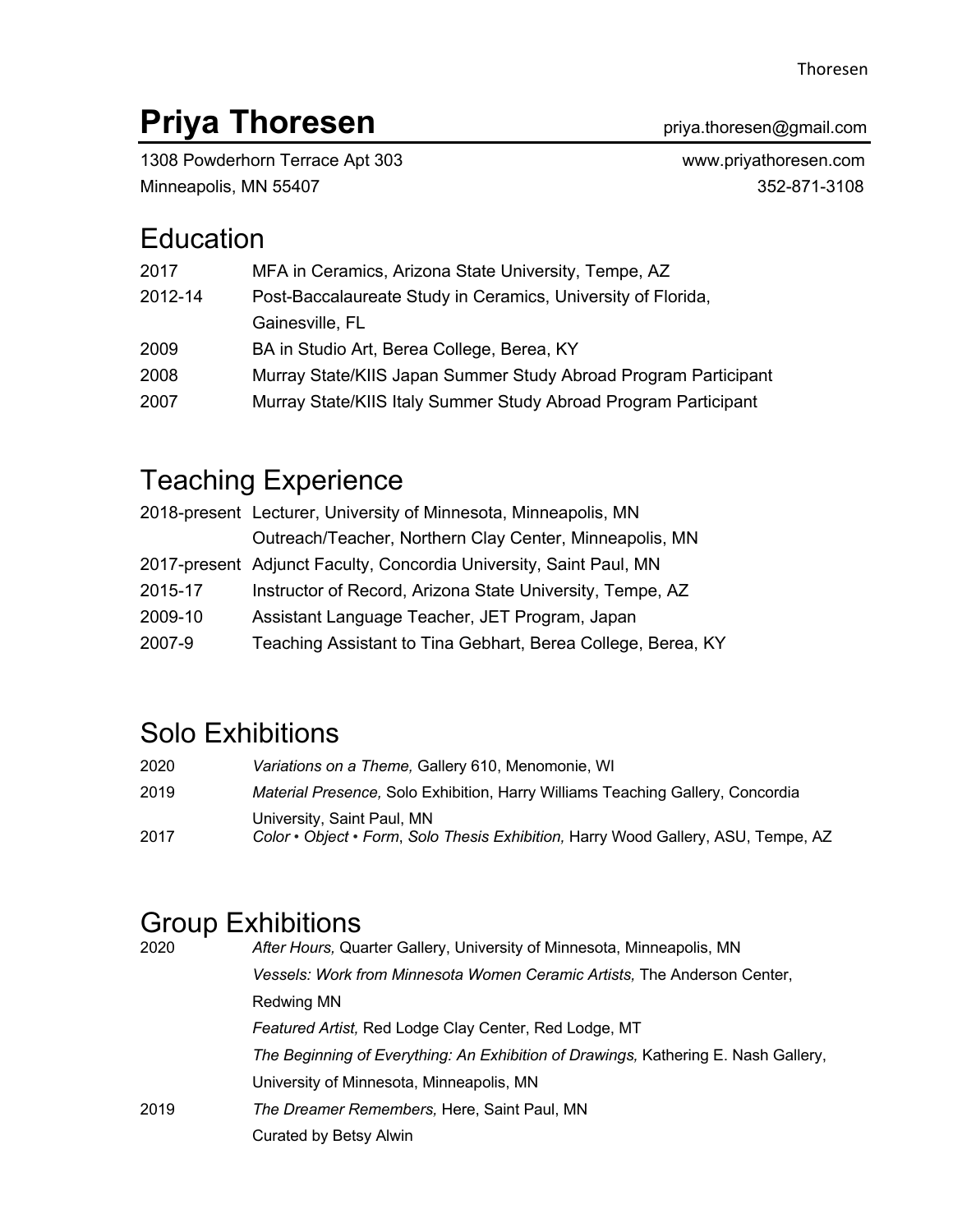# **Priya Thoresen Priya.thoresen@gmail.com**

1308 Powderhorn Terrace Apt 303 www.priyathoresen.com Minneapolis, MN 55407 352-871-3108

## **Education**

| 2017                                                                    | MFA in Ceramics, Arizona State University, Tempe, AZ            |
|-------------------------------------------------------------------------|-----------------------------------------------------------------|
| Post-Baccalaureate Study in Ceramics, University of Florida,<br>2012-14 |                                                                 |
|                                                                         | Gainesville, FL                                                 |
| 2009                                                                    | BA in Studio Art, Berea College, Berea, KY                      |
| 2008                                                                    | Murray State/KIIS Japan Summer Study Abroad Program Participant |
| 2007                                                                    | Murray State/KIIS Italy Summer Study Abroad Program Participant |

## Teaching Experience

|         | 2018-present Lecturer, University of Minnesota, Minneapolis, MN    |
|---------|--------------------------------------------------------------------|
|         | Outreach/Teacher, Northern Clay Center, Minneapolis, MN            |
|         | 2017-present Adjunct Faculty, Concordia University, Saint Paul, MN |
| 2015-17 | Instructor of Record, Arizona State University, Tempe, AZ          |
| 2009-10 | Assistant Language Teacher, JET Program, Japan                     |
| 2007-9  | Teaching Assistant to Tina Gebhart, Berea College, Berea, KY       |

## Solo Exhibitions

- 2020 *Variations on a Theme,* Gallery 610, Menomonie, WI 2019 *Material Presence,* Solo Exhibition, Harry Williams Teaching Gallery, Concordia University, Saint Paul, MN
- 2017 *Color • Object • Form*, *Solo Thesis Exhibition,* Harry Wood Gallery, ASU, Tempe, AZ

### Group Exhibitions

| 2020 | After Hours, Quarter Gallery, University of Minnesota, Minneapolis, MN             |
|------|------------------------------------------------------------------------------------|
|      | Vessels: Work from Minnesota Women Ceramic Artists, The Anderson Center,           |
|      | Redwing MN                                                                         |
|      | Featured Artist, Red Lodge Clay Center, Red Lodge, MT                              |
|      | The Beginning of Everything: An Exhibition of Drawings, Kathering E. Nash Gallery, |
|      | University of Minnesota, Minneapolis, MN                                           |
| 2019 | The Dreamer Remembers, Here, Saint Paul, MN                                        |
|      | Curated by Betsy Alwin                                                             |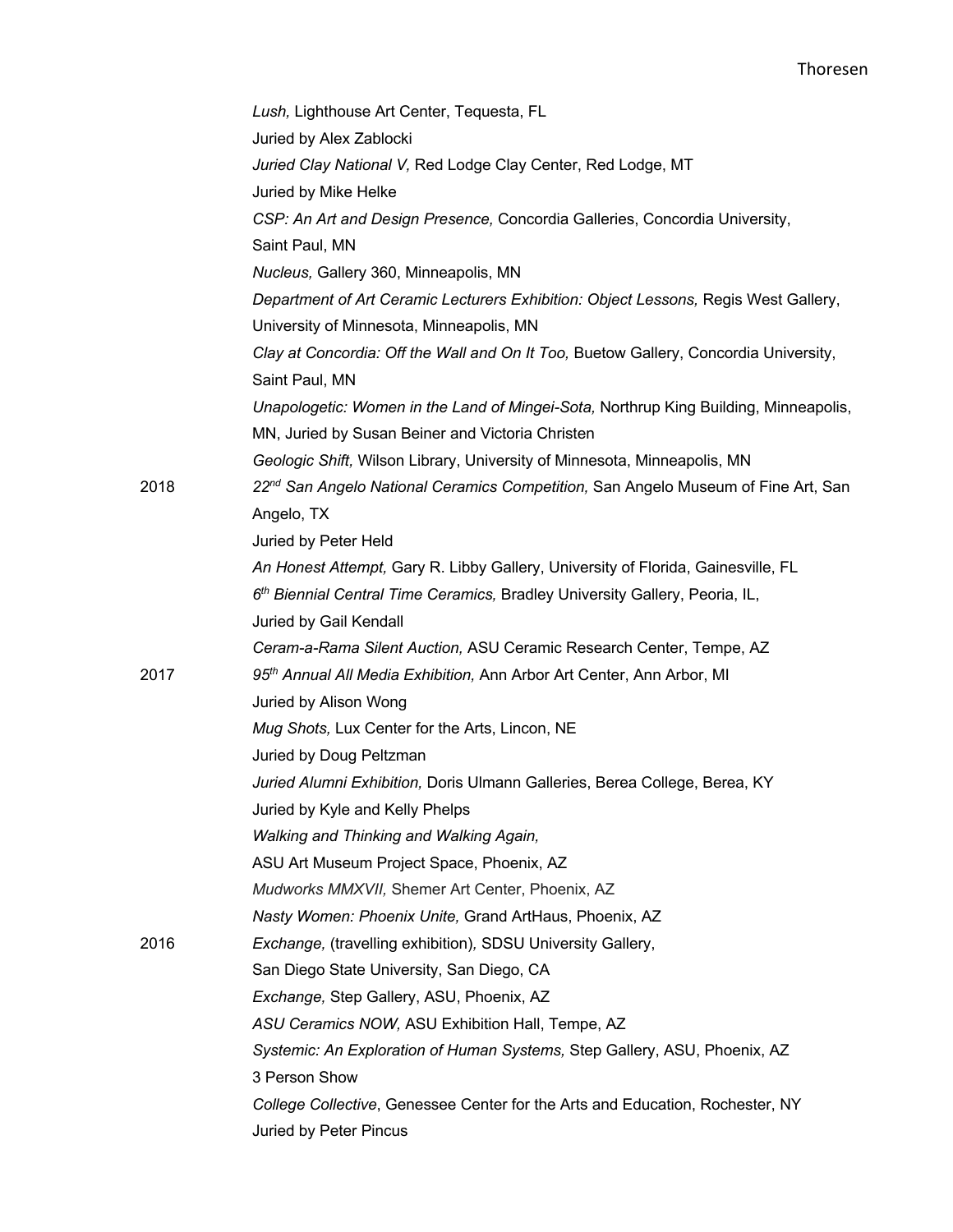|      | Lush, Lighthouse Art Center, Tequesta, FL                                                                                                |
|------|------------------------------------------------------------------------------------------------------------------------------------------|
|      | Juried by Alex Zablocki                                                                                                                  |
|      | Juried Clay National V, Red Lodge Clay Center, Red Lodge, MT                                                                             |
|      | Juried by Mike Helke                                                                                                                     |
|      | CSP: An Art and Design Presence, Concordia Galleries, Concordia University,                                                              |
|      | Saint Paul, MN                                                                                                                           |
|      | Nucleus, Gallery 360, Minneapolis, MN                                                                                                    |
|      | Department of Art Ceramic Lecturers Exhibition: Object Lessons, Regis West Gallery,                                                      |
|      | University of Minnesota, Minneapolis, MN                                                                                                 |
|      | Clay at Concordia: Off the Wall and On It Too, Buetow Gallery, Concordia University,                                                     |
|      | Saint Paul, MN                                                                                                                           |
|      | Unapologetic: Women in the Land of Mingei-Sota, Northrup King Building, Minneapolis,<br>MN, Juried by Susan Beiner and Victoria Christen |
|      | Geologic Shift, Wilson Library, University of Minnesota, Minneapolis, MN                                                                 |
| 2018 | 22 <sup>nd</sup> San Angelo National Ceramics Competition, San Angelo Museum of Fine Art, San                                            |
|      | Angelo, TX                                                                                                                               |
|      | Juried by Peter Held                                                                                                                     |
|      | An Honest Attempt, Gary R. Libby Gallery, University of Florida, Gainesville, FL                                                         |
|      | 6th Biennial Central Time Ceramics, Bradley University Gallery, Peoria, IL,                                                              |
|      | Juried by Gail Kendall                                                                                                                   |
|      | Ceram-a-Rama Silent Auction, ASU Ceramic Research Center, Tempe, AZ                                                                      |
| 2017 | 95 <sup>th</sup> Annual All Media Exhibition, Ann Arbor Art Center, Ann Arbor, MI                                                        |
|      | Juried by Alison Wong                                                                                                                    |
|      | Mug Shots, Lux Center for the Arts, Lincon, NE                                                                                           |
|      | Juried by Doug Peltzman                                                                                                                  |
|      | Juried Alumni Exhibition, Doris Ulmann Galleries, Berea College, Berea, KY                                                               |
|      | Juried by Kyle and Kelly Phelps                                                                                                          |
|      | Walking and Thinking and Walking Again,                                                                                                  |
|      | ASU Art Museum Project Space, Phoenix, AZ                                                                                                |
|      | Mudworks MMXVII, Shemer Art Center, Phoenix, AZ                                                                                          |
|      | Nasty Women: Phoenix Unite, Grand ArtHaus, Phoenix, AZ                                                                                   |
| 2016 | Exchange, (travelling exhibition), SDSU University Gallery,                                                                              |
|      | San Diego State University, San Diego, CA                                                                                                |
|      | Exchange, Step Gallery, ASU, Phoenix, AZ                                                                                                 |
|      | ASU Ceramics NOW, ASU Exhibition Hall, Tempe, AZ                                                                                         |
|      | Systemic: An Exploration of Human Systems, Step Gallery, ASU, Phoenix, AZ                                                                |
|      | 3 Person Show                                                                                                                            |
|      | College Collective, Genessee Center for the Arts and Education, Rochester, NY                                                            |
|      | Juried by Peter Pincus                                                                                                                   |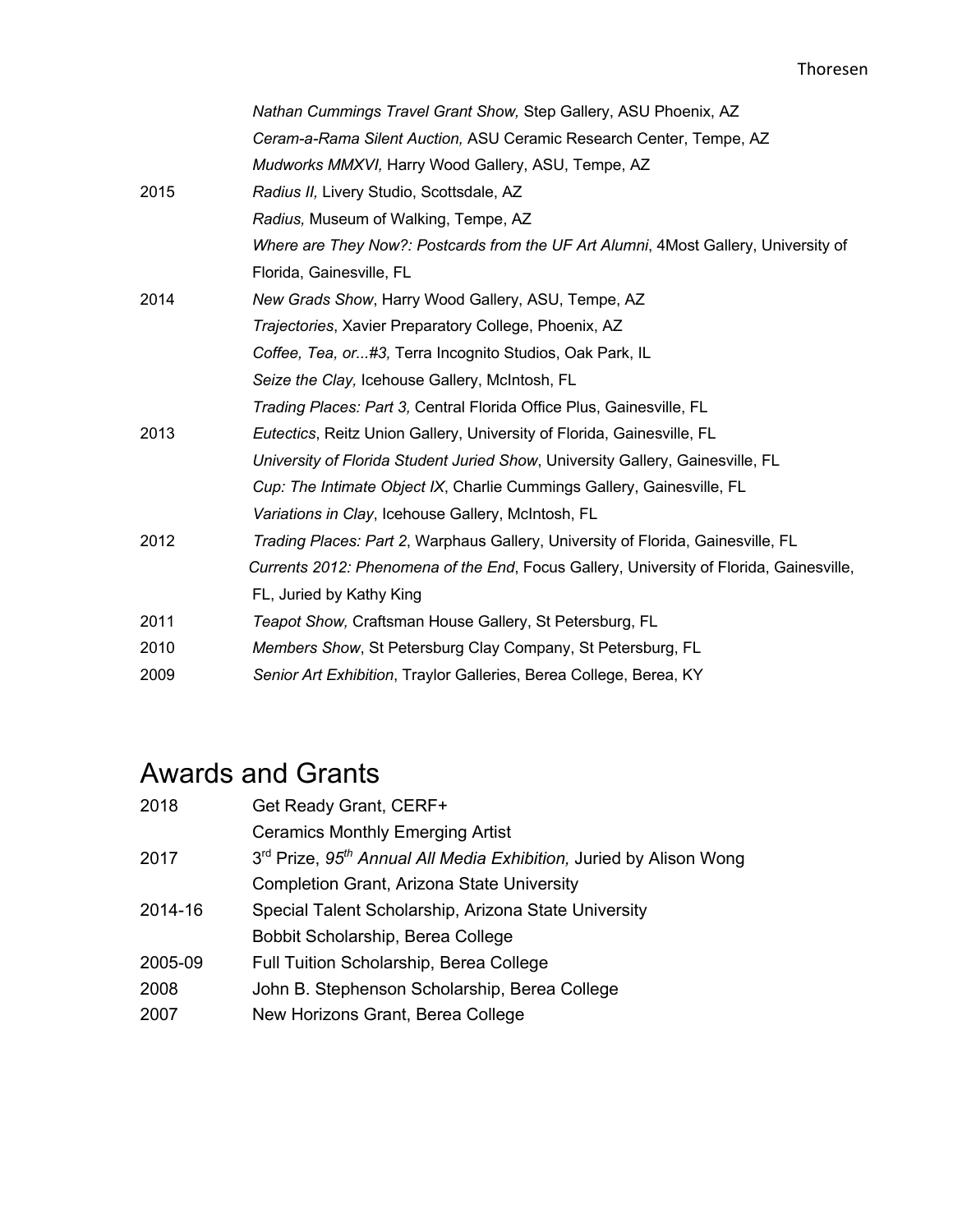|      | Nathan Cummings Travel Grant Show, Step Gallery, ASU Phoenix, AZ                        |
|------|-----------------------------------------------------------------------------------------|
|      | Ceram-a-Rama Silent Auction, ASU Ceramic Research Center, Tempe, AZ                     |
|      | Mudworks MMXVI, Harry Wood Gallery, ASU, Tempe, AZ                                      |
| 2015 | Radius II, Livery Studio, Scottsdale, AZ                                                |
|      | Radius, Museum of Walking, Tempe, AZ                                                    |
|      | Where are They Now?: Postcards from the UF Art Alumni, 4Most Gallery, University of     |
|      | Florida, Gainesville, FL                                                                |
| 2014 | New Grads Show, Harry Wood Gallery, ASU, Tempe, AZ                                      |
|      | Trajectories, Xavier Preparatory College, Phoenix, AZ                                   |
|      | Coffee, Tea, or#3, Terra Incognito Studios, Oak Park, IL                                |
|      | Seize the Clay, Icehouse Gallery, McIntosh, FL                                          |
|      | Trading Places: Part 3, Central Florida Office Plus, Gainesville, FL                    |
| 2013 | Eutectics, Reitz Union Gallery, University of Florida, Gainesville, FL                  |
|      | University of Florida Student Juried Show, University Gallery, Gainesville, FL          |
|      | Cup: The Intimate Object IX, Charlie Cummings Gallery, Gainesville, FL                  |
|      | Variations in Clay, Icehouse Gallery, McIntosh, FL                                      |
| 2012 | Trading Places: Part 2, Warphaus Gallery, University of Florida, Gainesville, FL        |
|      | Currents 2012: Phenomena of the End, Focus Gallery, University of Florida, Gainesville, |
|      | FL, Juried by Kathy King                                                                |
| 2011 | Teapot Show, Craftsman House Gallery, St Petersburg, FL                                 |
| 2010 | Members Show, St Petersburg Clay Company, St Petersburg, FL                             |
| 2009 | Senior Art Exhibition, Traylor Galleries, Berea College, Berea, KY                      |

## Awards and Grants

| 2018    | Get Ready Grant, CERF+                                                                     |
|---------|--------------------------------------------------------------------------------------------|
|         | <b>Ceramics Monthly Emerging Artist</b>                                                    |
| 2017    | 3 <sup>rd</sup> Prize, 95 <sup>th</sup> Annual All Media Exhibition, Juried by Alison Wong |
|         | <b>Completion Grant, Arizona State University</b>                                          |
| 2014-16 | Special Talent Scholarship, Arizona State University                                       |
|         | Bobbit Scholarship, Berea College                                                          |
| 2005-09 | Full Tuition Scholarship, Berea College                                                    |
| 2008    | John B. Stephenson Scholarship, Berea College                                              |
| 2007    | New Horizons Grant, Berea College                                                          |
|         |                                                                                            |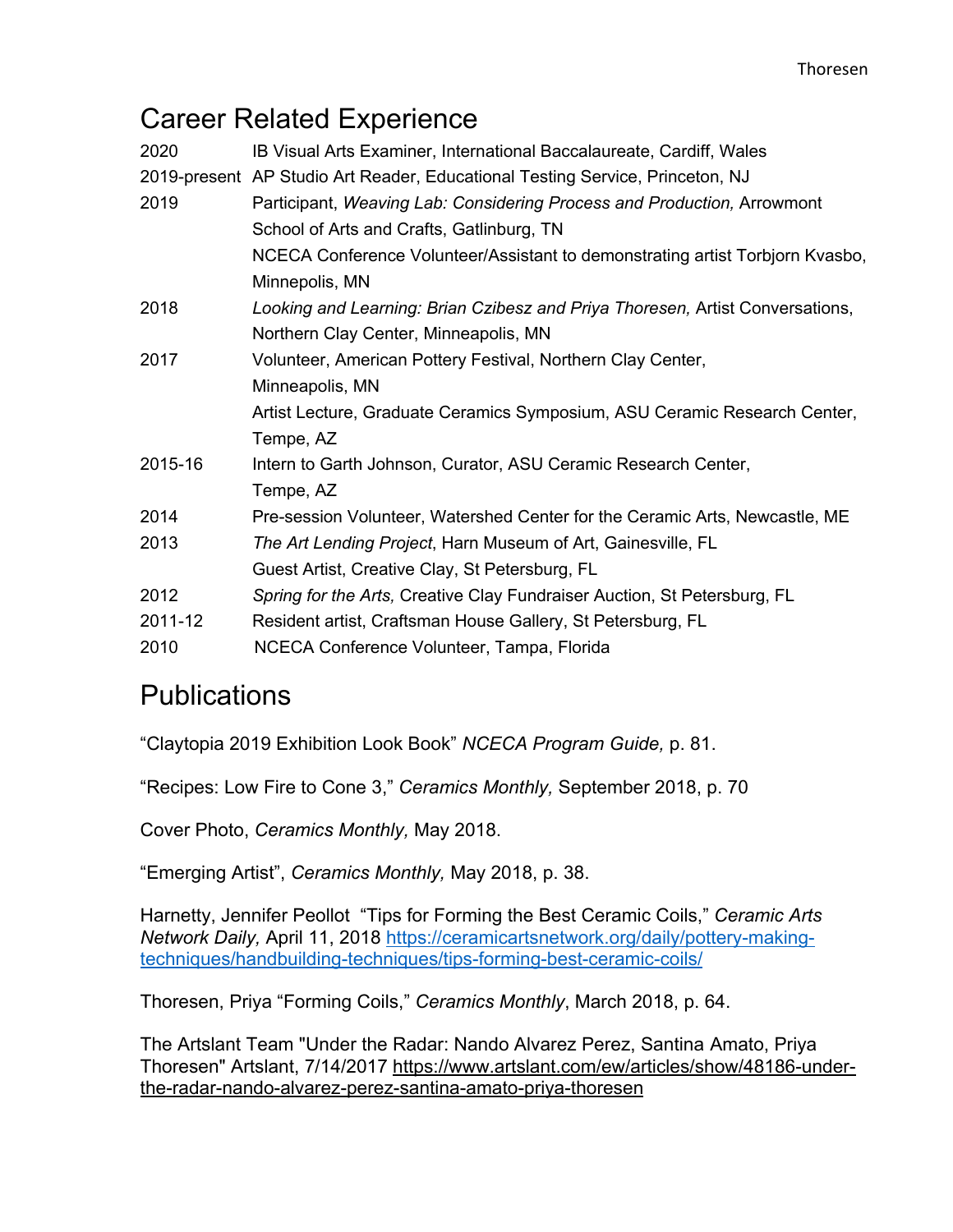## Career Related Experience

| 2020    | IB Visual Arts Examiner, International Baccalaureate, Cardiff, Wales          |  |
|---------|-------------------------------------------------------------------------------|--|
|         | 2019-present AP Studio Art Reader, Educational Testing Service, Princeton, NJ |  |
| 2019    | Participant, Weaving Lab: Considering Process and Production, Arrowmont       |  |
|         | School of Arts and Crafts, Gatlinburg, TN                                     |  |
|         | NCECA Conference Volunteer/Assistant to demonstrating artist Torbjorn Kvasbo, |  |
|         | Minnepolis, MN                                                                |  |
| 2018    | Looking and Learning: Brian Czibesz and Priya Thoresen, Artist Conversations, |  |
|         | Northern Clay Center, Minneapolis, MN                                         |  |
| 2017    | Volunteer, American Pottery Festival, Northern Clay Center,                   |  |
|         | Minneapolis, MN                                                               |  |
|         | Artist Lecture, Graduate Ceramics Symposium, ASU Ceramic Research Center,     |  |
|         | Tempe, AZ                                                                     |  |
| 2015-16 | Intern to Garth Johnson, Curator, ASU Ceramic Research Center,                |  |
|         | Tempe, AZ                                                                     |  |
| 2014    | Pre-session Volunteer, Watershed Center for the Ceramic Arts, Newcastle, ME   |  |
| 2013    | The Art Lending Project, Harn Museum of Art, Gainesville, FL                  |  |
|         | Guest Artist, Creative Clay, St Petersburg, FL                                |  |
| 2012    | Spring for the Arts, Creative Clay Fundraiser Auction, St Petersburg, FL      |  |
| 2011-12 | Resident artist, Craftsman House Gallery, St Petersburg, FL                   |  |
| 2010    | NCECA Conference Volunteer, Tampa, Florida                                    |  |

## **Publications**

"Claytopia 2019 Exhibition Look Book" *NCECA Program Guide,* p. 81.

"Recipes: Low Fire to Cone 3," *Ceramics Monthly,* September 2018, p. 70

Cover Photo, *Ceramics Monthly,* May 2018.

"Emerging Artist", *Ceramics Monthly,* May 2018, p. 38.

Harnetty, Jennifer Peollot "Tips for Forming the Best Ceramic Coils," *Ceramic Arts Network Daily,* April 11, 2018 https://ceramicartsnetwork.org/daily/pottery-makingtechniques/handbuilding-techniques/tips-forming-best-ceramic-coils/

Thoresen, Priya "Forming Coils," *Ceramics Monthly*, March 2018, p. 64.

The Artslant Team "Under the Radar: Nando Alvarez Perez, Santina Amato, Priya Thoresen" Artslant, 7/14/2017 https://www.artslant.com/ew/articles/show/48186-underthe-radar-nando-alvarez-perez-santina-amato-priya-thoresen